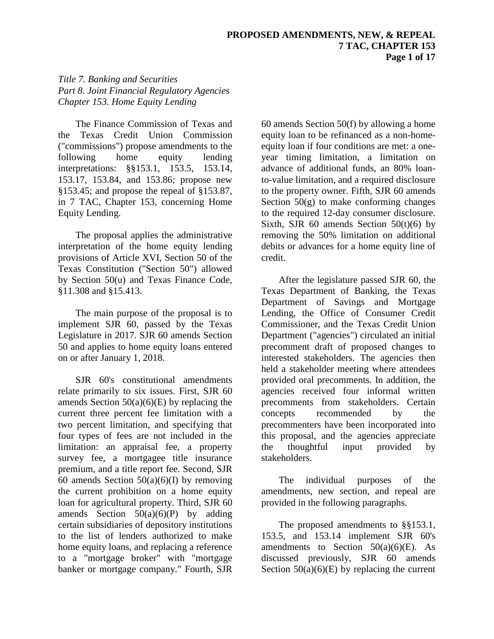*Title 7. Banking and Securities Part 8. Joint Financial Regulatory Agencies Chapter 153. Home Equity Lending*

The Finance Commission of Texas and the Texas Credit Union Commission ("commissions") propose amendments to the following home equity lending interpretations: §§153.1, 153.5, 153.14, 153.17, 153.84, and 153.86; propose new §153.45; and propose the repeal of §153.87, in 7 TAC, Chapter 153, concerning Home Equity Lending.

The proposal applies the administrative interpretation of the home equity lending provisions of Article XVI, Section 50 of the Texas Constitution ("Section 50") allowed by Section 50(u) and Texas Finance Code, §11.308 and §15.413.

The main purpose of the proposal is to implement SJR 60, passed by the Texas Legislature in 2017. SJR 60 amends Section 50 and applies to home equity loans entered on or after January 1, 2018.

SJR 60's constitutional amendments relate primarily to six issues. First, SJR 60 amends Section  $50(a)(6)(E)$  by replacing the current three percent fee limitation with a two percent limitation, and specifying that four types of fees are not included in the limitation: an appraisal fee, a property survey fee, a mortgagee title insurance premium, and a title report fee. Second, SJR 60 amends Section  $50(a)(6)(I)$  by removing the current prohibition on a home equity loan for agricultural property. Third, SJR 60 amends Section  $50(a)(6)(P)$  by adding certain subsidiaries of depository institutions to the list of lenders authorized to make home equity loans, and replacing a reference to a "mortgage broker" with "mortgage banker or mortgage company." Fourth, SJR

60 amends Section 50(f) by allowing a home equity loan to be refinanced as a non-homeequity loan if four conditions are met: a oneyear timing limitation, a limitation on advance of additional funds, an 80% loanto-value limitation, and a required disclosure to the property owner. Fifth, SJR 60 amends Section  $50(g)$  to make conforming changes to the required 12-day consumer disclosure. Sixth, SJR 60 amends Section  $50(t)(6)$  by removing the 50% limitation on additional debits or advances for a home equity line of credit.

After the legislature passed SJR 60, the Texas Department of Banking, the Texas Department of Savings and Mortgage Lending, the Office of Consumer Credit Commissioner, and the Texas Credit Union Department ("agencies") circulated an initial precomment draft of proposed changes to interested stakeholders. The agencies then held a stakeholder meeting where attendees provided oral precomments. In addition, the agencies received four informal written precomments from stakeholders. Certain concepts recommended by the precommenters have been incorporated into this proposal, and the agencies appreciate the thoughtful input provided by stakeholders.

The individual purposes of the amendments, new section, and repeal are provided in the following paragraphs.

The proposed amendments to §§153.1, 153.5, and 153.14 implement SJR 60's amendments to Section  $50(a)(6)(E)$ . As discussed previously, SJR 60 amends Section  $50(a)(6)(E)$  by replacing the current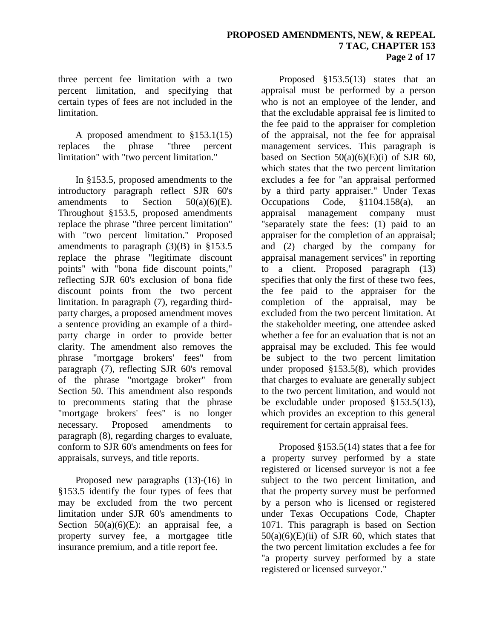three percent fee limitation with a two percent limitation, and specifying that certain types of fees are not included in the limitation.

A proposed amendment to §153.1(15) replaces the phrase "three percent limitation" with "two percent limitation."

In §153.5, proposed amendments to the introductory paragraph reflect SJR 60's amendments to Section 50(a)(6)(E). Throughout §153.5, proposed amendments replace the phrase "three percent limitation" with "two percent limitation." Proposed amendments to paragraph  $(3)(B)$  in §153.5 replace the phrase "legitimate discount points" with "bona fide discount points," reflecting SJR 60's exclusion of bona fide discount points from the two percent limitation. In paragraph (7), regarding thirdparty charges, a proposed amendment moves a sentence providing an example of a thirdparty charge in order to provide better clarity. The amendment also removes the phrase "mortgage brokers' fees" from paragraph (7), reflecting SJR 60's removal of the phrase "mortgage broker" from Section 50. This amendment also responds to precomments stating that the phrase "mortgage brokers' fees" is no longer necessary. Proposed amendments to paragraph (8), regarding charges to evaluate, conform to SJR 60's amendments on fees for appraisals, surveys, and title reports.

Proposed new paragraphs (13)-(16) in §153.5 identify the four types of fees that may be excluded from the two percent limitation under SJR 60's amendments to Section  $50(a)(6)(E)$ : an appraisal fee, a property survey fee, a mortgagee title insurance premium, and a title report fee.

Proposed §153.5(13) states that an appraisal must be performed by a person who is not an employee of the lender, and that the excludable appraisal fee is limited to the fee paid to the appraiser for completion of the appraisal, not the fee for appraisal management services. This paragraph is based on Section  $50(a)(6)(E)(i)$  of SJR 60, which states that the two percent limitation excludes a fee for "an appraisal performed by a third party appraiser." Under Texas Occupations Code, §1104.158(a), an appraisal management company must "separately state the fees: (1) paid to an appraiser for the completion of an appraisal; and (2) charged by the company for appraisal management services" in reporting to a client. Proposed paragraph (13) specifies that only the first of these two fees, the fee paid to the appraiser for the completion of the appraisal, may be excluded from the two percent limitation. At the stakeholder meeting, one attendee asked whether a fee for an evaluation that is not an appraisal may be excluded. This fee would be subject to the two percent limitation under proposed §153.5(8), which provides that charges to evaluate are generally subject to the two percent limitation, and would not be excludable under proposed §153.5(13), which provides an exception to this general requirement for certain appraisal fees.

Proposed §153.5(14) states that a fee for a property survey performed by a state registered or licensed surveyor is not a fee subject to the two percent limitation, and that the property survey must be performed by a person who is licensed or registered under Texas Occupations Code, Chapter 1071. This paragraph is based on Section  $50(a)(6)(E)(ii)$  of SJR 60, which states that the two percent limitation excludes a fee for "a property survey performed by a state registered or licensed surveyor."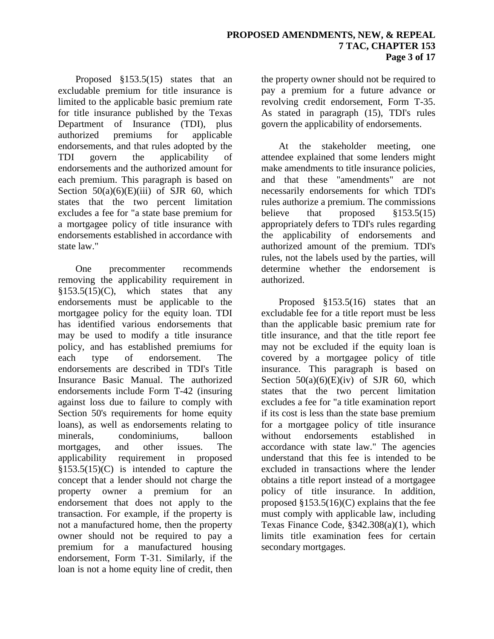Proposed §153.5(15) states that an excludable premium for title insurance is limited to the applicable basic premium rate for title insurance published by the Texas Department of Insurance (TDI), plus authorized premiums for applicable endorsements, and that rules adopted by the TDI govern the applicability of endorsements and the authorized amount for each premium. This paragraph is based on Section  $50(a)(6)(E)(iii)$  of SJR 60, which states that the two percent limitation excludes a fee for "a state base premium for a mortgagee policy of title insurance with endorsements established in accordance with state law."

One precommenter recommends removing the applicability requirement in  $§153.5(15)(C)$ , which states that any endorsements must be applicable to the mortgagee policy for the equity loan. TDI has identified various endorsements that may be used to modify a title insurance policy, and has established premiums for each type of endorsement. The endorsements are described in TDI's Title Insurance Basic Manual. The authorized endorsements include Form T-42 (insuring against loss due to failure to comply with Section 50's requirements for home equity loans), as well as endorsements relating to minerals, condominiums, balloon mortgages, and other issues. The applicability requirement in proposed  $§153.5(15)(C)$  is intended to capture the concept that a lender should not charge the property owner a premium for an endorsement that does not apply to the transaction. For example, if the property is not a manufactured home, then the property owner should not be required to pay a premium for a manufactured housing endorsement, Form T-31. Similarly, if the loan is not a home equity line of credit, then

the property owner should not be required to pay a premium for a future advance or revolving credit endorsement, Form T-35. As stated in paragraph (15), TDI's rules govern the applicability of endorsements.

At the stakeholder meeting, one attendee explained that some lenders might make amendments to title insurance policies, and that these "amendments" are not necessarily endorsements for which TDI's rules authorize a premium. The commissions believe that proposed §153.5(15) appropriately defers to TDI's rules regarding the applicability of endorsements and authorized amount of the premium. TDI's rules, not the labels used by the parties, will determine whether the endorsement is authorized.

Proposed §153.5(16) states that an excludable fee for a title report must be less than the applicable basic premium rate for title insurance, and that the title report fee may not be excluded if the equity loan is covered by a mortgagee policy of title insurance. This paragraph is based on Section  $50(a)(6)(E)(iv)$  of SJR 60, which states that the two percent limitation excludes a fee for "a title examination report if its cost is less than the state base premium for a mortgagee policy of title insurance without endorsements established in accordance with state law." The agencies understand that this fee is intended to be excluded in transactions where the lender obtains a title report instead of a mortgagee policy of title insurance. In addition, proposed  $$153.5(16)(C)$  explains that the fee must comply with applicable law, including Texas Finance Code, §342.308(a)(1), which limits title examination fees for certain secondary mortgages.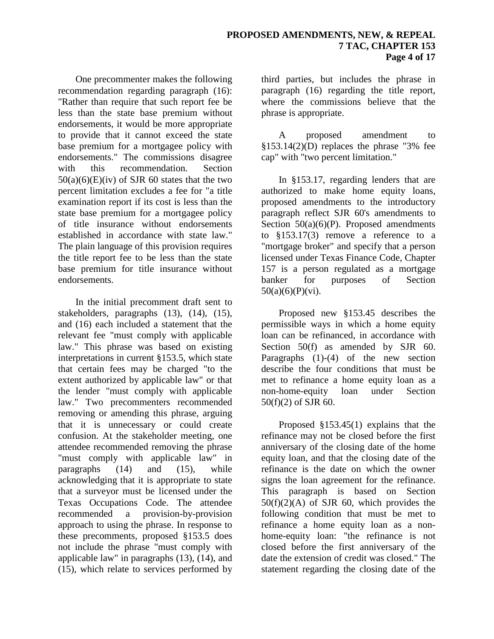One precommenter makes the following recommendation regarding paragraph (16): "Rather than require that such report fee be less than the state base premium without endorsements, it would be more appropriate to provide that it cannot exceed the state base premium for a mortgagee policy with endorsements." The commissions disagree with this recommendation. Section  $50(a)(6)(E)(iv)$  of SJR 60 states that the two percent limitation excludes a fee for "a title examination report if its cost is less than the state base premium for a mortgagee policy of title insurance without endorsements established in accordance with state law." The plain language of this provision requires the title report fee to be less than the state base premium for title insurance without endorsements.

In the initial precomment draft sent to stakeholders, paragraphs (13), (14), (15), and (16) each included a statement that the relevant fee "must comply with applicable law." This phrase was based on existing interpretations in current §153.5, which state that certain fees may be charged "to the extent authorized by applicable law" or that the lender "must comply with applicable law." Two precommenters recommended removing or amending this phrase, arguing that it is unnecessary or could create confusion. At the stakeholder meeting, one attendee recommended removing the phrase "must comply with applicable law" in paragraphs (14) and (15), while acknowledging that it is appropriate to state that a surveyor must be licensed under the Texas Occupations Code. The attendee recommended a provision-by-provision approach to using the phrase. In response to these precomments, proposed §153.5 does not include the phrase "must comply with applicable law" in paragraphs (13), (14), and (15), which relate to services performed by

third parties, but includes the phrase in paragraph (16) regarding the title report, where the commissions believe that the phrase is appropriate.

A proposed amendment to  $$153.14(2)(D)$  replaces the phrase "3% fee cap" with "two percent limitation."

In §153.17, regarding lenders that are authorized to make home equity loans, proposed amendments to the introductory paragraph reflect SJR 60's amendments to Section  $50(a)(6)(P)$ . Proposed amendments to §153.17(3) remove a reference to a "mortgage broker" and specify that a person licensed under Texas Finance Code, Chapter 157 is a person regulated as a mortgage banker for purposes of Section  $50(a)(6)(P)(vi)$ .

Proposed new §153.45 describes the permissible ways in which a home equity loan can be refinanced, in accordance with Section 50(f) as amended by SJR 60. Paragraphs (1)-(4) of the new section describe the four conditions that must be met to refinance a home equity loan as a non-home-equity loan under Section 50(f)(2) of SJR 60.

Proposed §153.45(1) explains that the refinance may not be closed before the first anniversary of the closing date of the home equity loan, and that the closing date of the refinance is the date on which the owner signs the loan agreement for the refinance. This paragraph is based on Section  $50(f)(2)(A)$  of SJR 60, which provides the following condition that must be met to refinance a home equity loan as a nonhome-equity loan: "the refinance is not closed before the first anniversary of the date the extension of credit was closed." The statement regarding the closing date of the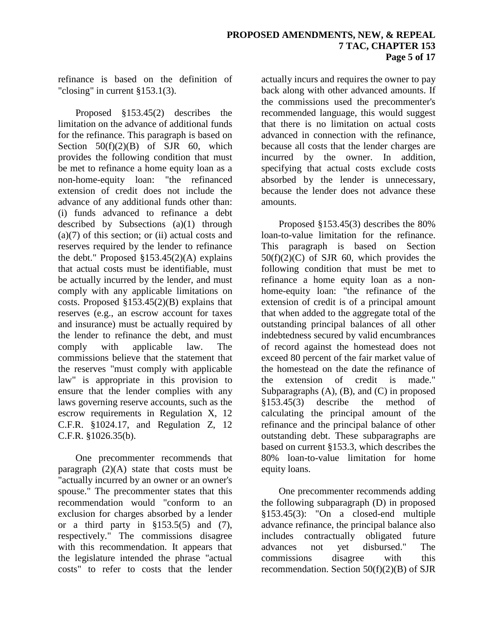refinance is based on the definition of "closing" in current §153.1(3).

Proposed §153.45(2) describes the limitation on the advance of additional funds for the refinance. This paragraph is based on Section  $50(f)(2)(B)$  of SJR 60, which provides the following condition that must be met to refinance a home equity loan as a non-home-equity loan: "the refinanced extension of credit does not include the advance of any additional funds other than: (i) funds advanced to refinance a debt described by Subsections (a)(1) through  $(a)(7)$  of this section; or (ii) actual costs and reserves required by the lender to refinance the debt." Proposed  $$153.45(2)(A)$  explains that actual costs must be identifiable, must be actually incurred by the lender, and must comply with any applicable limitations on costs. Proposed §153.45(2)(B) explains that reserves (e.g., an escrow account for taxes and insurance) must be actually required by the lender to refinance the debt, and must comply with applicable law. The commissions believe that the statement that the reserves "must comply with applicable law" is appropriate in this provision to ensure that the lender complies with any laws governing reserve accounts, such as the escrow requirements in Regulation X, 12 C.F.R. §1024.17, and Regulation Z, 12 C.F.R. §1026.35(b).

One precommenter recommends that paragraph  $(2)(A)$  state that costs must be "actually incurred by an owner or an owner's spouse." The precommenter states that this recommendation would "conform to an exclusion for charges absorbed by a lender or a third party in  $$153.5(5)$  and (7), respectively." The commissions disagree with this recommendation. It appears that the legislature intended the phrase "actual costs" to refer to costs that the lender

actually incurs and requires the owner to pay back along with other advanced amounts. If the commissions used the precommenter's recommended language, this would suggest that there is no limitation on actual costs advanced in connection with the refinance, because all costs that the lender charges are incurred by the owner. In addition, specifying that actual costs exclude costs absorbed by the lender is unnecessary, because the lender does not advance these amounts.

Proposed §153.45(3) describes the 80% loan-to-value limitation for the refinance. This paragraph is based on Section  $50(f)(2)(C)$  of SJR 60, which provides the following condition that must be met to refinance a home equity loan as a nonhome-equity loan: "the refinance of the extension of credit is of a principal amount that when added to the aggregate total of the outstanding principal balances of all other indebtedness secured by valid encumbrances of record against the homestead does not exceed 80 percent of the fair market value of the homestead on the date the refinance of the extension of credit is made." Subparagraphs (A), (B), and (C) in proposed §153.45(3) describe the method of calculating the principal amount of the refinance and the principal balance of other outstanding debt. These subparagraphs are based on current §153.3, which describes the 80% loan-to-value limitation for home equity loans.

One precommenter recommends adding the following subparagraph (D) in proposed §153.45(3): "On a closed-end multiple advance refinance, the principal balance also includes contractually obligated future advances not yet disbursed." The commissions disagree with this recommendation. Section 50(f)(2)(B) of SJR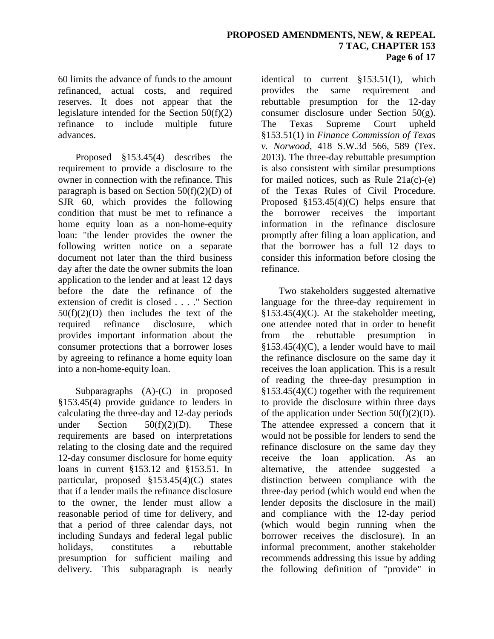### **PROPOSED AMENDMENTS, NEW, & REPEAL 7 TAC, CHAPTER 153 Page 6 of 17**

60 limits the advance of funds to the amount refinanced, actual costs, and required reserves. It does not appear that the legislature intended for the Section 50(f)(2) refinance to include multiple future advances.

Proposed §153.45(4) describes the requirement to provide a disclosure to the owner in connection with the refinance. This paragraph is based on Section  $50(f)(2)(D)$  of SJR 60, which provides the following condition that must be met to refinance a home equity loan as a non-home-equity loan: "the lender provides the owner the following written notice on a separate document not later than the third business day after the date the owner submits the loan application to the lender and at least 12 days before the date the refinance of the extension of credit is closed . . . ." Section 50(f)(2)(D) then includes the text of the required refinance disclosure, which provides important information about the consumer protections that a borrower loses by agreeing to refinance a home equity loan into a non-home-equity loan.

Subparagraphs (A)-(C) in proposed §153.45(4) provide guidance to lenders in calculating the three-day and 12-day periods under Section  $50(f)(2)(D)$ . These requirements are based on interpretations relating to the closing date and the required 12-day consumer disclosure for home equity loans in current §153.12 and §153.51. In particular, proposed §153.45(4)(C) states that if a lender mails the refinance disclosure to the owner, the lender must allow a reasonable period of time for delivery, and that a period of three calendar days, not including Sundays and federal legal public holidays, constitutes a rebuttable presumption for sufficient mailing and delivery. This subparagraph is nearly

identical to current §153.51(1), which provides the same requirement and rebuttable presumption for the 12-day consumer disclosure under Section 50(g). The Texas Supreme Court upheld §153.51(1) in *Finance Commission of Texas v. Norwood*, 418 S.W.3d 566, 589 (Tex. 2013). The three-day rebuttable presumption is also consistent with similar presumptions for mailed notices, such as Rule  $21a(c)$ -(e) of the Texas Rules of Civil Procedure. Proposed §153.45(4)(C) helps ensure that the borrower receives the important information in the refinance disclosure promptly after filing a loan application, and that the borrower has a full 12 days to consider this information before closing the refinance.

Two stakeholders suggested alternative language for the three-day requirement in  $§153.45(4)(C)$ . At the stakeholder meeting, one attendee noted that in order to benefit from the rebuttable presumption in  $§153.45(4)(C)$ , a lender would have to mail the refinance disclosure on the same day it receives the loan application. This is a result of reading the three-day presumption in  $§153.45(4)(C)$  together with the requirement to provide the disclosure within three days of the application under Section  $50(f)(2)(D)$ . The attendee expressed a concern that it would not be possible for lenders to send the refinance disclosure on the same day they receive the loan application. As an alternative, the attendee suggested a distinction between compliance with the three-day period (which would end when the lender deposits the disclosure in the mail) and compliance with the 12-day period (which would begin running when the borrower receives the disclosure). In an informal precomment, another stakeholder recommends addressing this issue by adding the following definition of "provide" in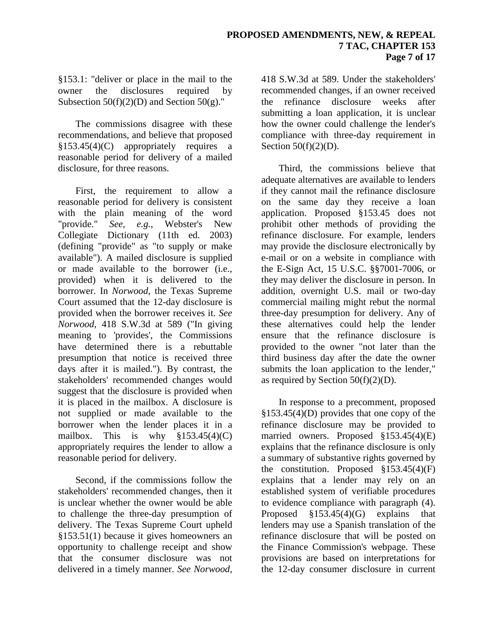§153.1: "deliver or place in the mail to the owner the disclosures required by Subsection  $50(f)(2)(D)$  and Section  $50(g)$ ."

The commissions disagree with these recommendations, and believe that proposed §153.45(4)(C) appropriately requires a reasonable period for delivery of a mailed disclosure, for three reasons.

First, the requirement to allow a reasonable period for delivery is consistent with the plain meaning of the word "provide." *See, e.g.*, Webster's New Collegiate Dictionary (11th ed. 2003) (defining "provide" as "to supply or make available"). A mailed disclosure is supplied or made available to the borrower (i.e., provided) when it is delivered to the borrower. In *Norwood*, the Texas Supreme Court assumed that the 12-day disclosure is provided when the borrower receives it. *See Norwood*, 418 S.W.3d at 589 ("In giving meaning to 'provides', the Commissions have determined there is a rebuttable presumption that notice is received three days after it is mailed."). By contrast, the stakeholders' recommended changes would suggest that the disclosure is provided when it is placed in the mailbox. A disclosure is not supplied or made available to the borrower when the lender places it in a mailbox. This is why  $$153.45(4)(C)$ appropriately requires the lender to allow a reasonable period for delivery.

Second, if the commissions follow the stakeholders' recommended changes, then it is unclear whether the owner would be able to challenge the three-day presumption of delivery. The Texas Supreme Court upheld §153.51(1) because it gives homeowners an opportunity to challenge receipt and show that the consumer disclosure was not delivered in a timely manner. *See Norwood*,

418 S.W.3d at 589. Under the stakeholders' recommended changes, if an owner received the refinance disclosure weeks after submitting a loan application, it is unclear how the owner could challenge the lender's compliance with three-day requirement in Section 50(f)(2)(D).

Third, the commissions believe that adequate alternatives are available to lenders if they cannot mail the refinance disclosure on the same day they receive a loan application. Proposed §153.45 does not prohibit other methods of providing the refinance disclosure. For example, lenders may provide the disclosure electronically by e-mail or on a website in compliance with the E-Sign Act, 15 U.S.C. §§7001-7006, or they may deliver the disclosure in person. In addition, overnight U.S. mail or two-day commercial mailing might rebut the normal three-day presumption for delivery. Any of these alternatives could help the lender ensure that the refinance disclosure is provided to the owner "not later than the third business day after the date the owner submits the loan application to the lender," as required by Section  $50(f)(2)(D)$ .

In response to a precomment, proposed §153.45(4)(D) provides that one copy of the refinance disclosure may be provided to married owners. Proposed §153.45(4)(E) explains that the refinance disclosure is only a summary of substantive rights governed by the constitution. Proposed  $\S 153.45(4)(F)$ explains that a lender may rely on an established system of verifiable procedures to evidence compliance with paragraph (4). Proposed §153.45(4)(G) explains that lenders may use a Spanish translation of the refinance disclosure that will be posted on the Finance Commission's webpage. These provisions are based on interpretations for the 12-day consumer disclosure in current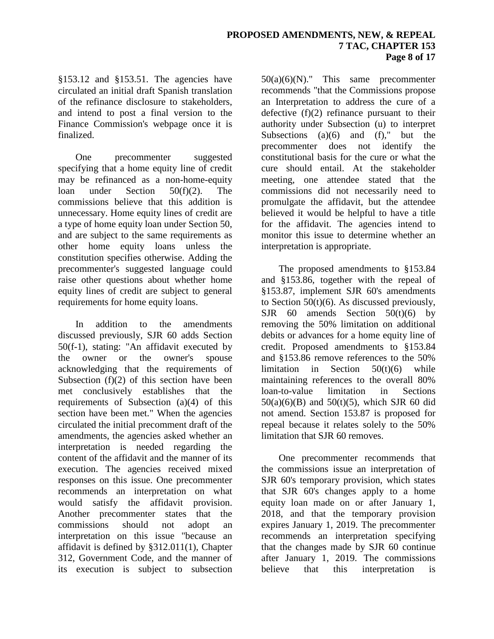§153.12 and §153.51. The agencies have circulated an initial draft Spanish translation of the refinance disclosure to stakeholders, and intend to post a final version to the Finance Commission's webpage once it is finalized.

One precommenter suggested specifying that a home equity line of credit may be refinanced as a non-home-equity loan under Section 50(f)(2). The commissions believe that this addition is unnecessary. Home equity lines of credit are a type of home equity loan under Section 50, and are subject to the same requirements as other home equity loans unless the constitution specifies otherwise. Adding the precommenter's suggested language could raise other questions about whether home equity lines of credit are subject to general requirements for home equity loans.

In addition to the amendments discussed previously, SJR 60 adds Section 50(f-1), stating: "An affidavit executed by the owner or the owner's spouse acknowledging that the requirements of Subsection  $(f)(2)$  of this section have been met conclusively establishes that the requirements of Subsection (a)(4) of this section have been met." When the agencies circulated the initial precomment draft of the amendments, the agencies asked whether an interpretation is needed regarding the content of the affidavit and the manner of its execution. The agencies received mixed responses on this issue. One precommenter recommends an interpretation on what would satisfy the affidavit provision. Another precommenter states that the commissions should not adopt an interpretation on this issue "because an affidavit is defined by §312.011(1), Chapter 312, Government Code, and the manner of its execution is subject to subsection 50(a)(6)(N)." This same precommenter recommends "that the Commissions propose an Interpretation to address the cure of a defective  $(f)(2)$  refinance pursuant to their authority under Subsection (u) to interpret Subsections  $(a)(6)$  and  $(f)$ ," but the precommenter does not identify the constitutional basis for the cure or what the cure should entail. At the stakeholder meeting, one attendee stated that the commissions did not necessarily need to promulgate the affidavit, but the attendee believed it would be helpful to have a title for the affidavit. The agencies intend to monitor this issue to determine whether an interpretation is appropriate.

The proposed amendments to §153.84 and §153.86, together with the repeal of §153.87, implement SJR 60's amendments to Section  $50(t)(6)$ . As discussed previously,  $S$ JR 60 amends Section 50(t)(6) by removing the 50% limitation on additional debits or advances for a home equity line of credit. Proposed amendments to §153.84 and §153.86 remove references to the 50% limitation in Section  $50(t)(6)$  while maintaining references to the overall 80% loan-to-value limitation in Sections  $50(a)(6)(B)$  and  $50(t)(5)$ , which SJR 60 did not amend. Section 153.87 is proposed for repeal because it relates solely to the 50% limitation that SJR 60 removes.

One precommenter recommends that the commissions issue an interpretation of SJR 60's temporary provision, which states that SJR 60's changes apply to a home equity loan made on or after January 1, 2018, and that the temporary provision expires January 1, 2019. The precommenter recommends an interpretation specifying that the changes made by SJR 60 continue after January 1, 2019. The commissions believe that this interpretation is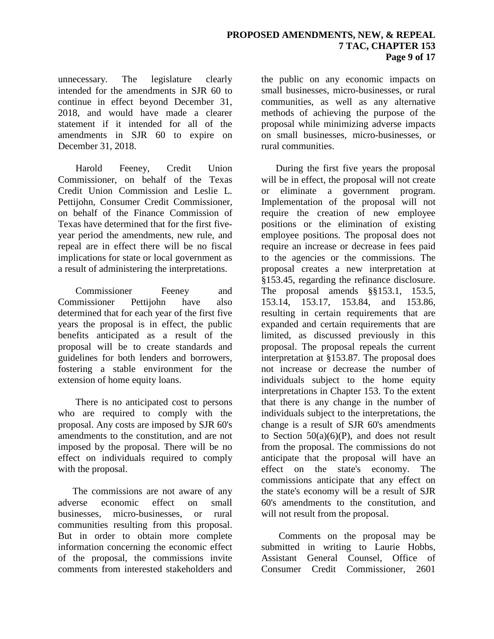unnecessary. The legislature clearly intended for the amendments in SJR 60 to continue in effect beyond December 31, 2018, and would have made a clearer statement if it intended for all of the amendments in SJR 60 to expire on December 31, 2018.

Harold Feeney, Credit Union Commissioner, on behalf of the Texas Credit Union Commission and Leslie L. Pettijohn, Consumer Credit Commissioner, on behalf of the Finance Commission of Texas have determined that for the first fiveyear period the amendments, new rule, and repeal are in effect there will be no fiscal implications for state or local government as a result of administering the interpretations.

Commissioner Feeney and Commissioner Pettijohn have also determined that for each year of the first five years the proposal is in effect, the public benefits anticipated as a result of the proposal will be to create standards and guidelines for both lenders and borrowers, fostering a stable environment for the extension of home equity loans.

There is no anticipated cost to persons who are required to comply with the proposal. Any costs are imposed by SJR 60's amendments to the constitution, and are not imposed by the proposal. There will be no effect on individuals required to comply with the proposal.

The commissions are not aware of any adverse economic effect on small businesses, micro-businesses, or rural communities resulting from this proposal. But in order to obtain more complete information concerning the economic effect of the proposal, the commissions invite comments from interested stakeholders and

the public on any economic impacts on small businesses, micro-businesses, or rural communities, as well as any alternative methods of achieving the purpose of the proposal while minimizing adverse impacts on small businesses, micro-businesses, or rural communities.

During the first five years the proposal will be in effect, the proposal will not create or eliminate a government program. Implementation of the proposal will not require the creation of new employee positions or the elimination of existing employee positions. The proposal does not require an increase or decrease in fees paid to the agencies or the commissions. The proposal creates a new interpretation at §153.45, regarding the refinance disclosure. The proposal amends §§153.1, 153.5, 153.14, 153.17, 153.84, and 153.86, resulting in certain requirements that are expanded and certain requirements that are limited, as discussed previously in this proposal. The proposal repeals the current interpretation at §153.87. The proposal does not increase or decrease the number of individuals subject to the home equity interpretations in Chapter 153. To the extent that there is any change in the number of individuals subject to the interpretations, the change is a result of SJR 60's amendments to Section  $50(a)(6)(P)$ , and does not result from the proposal. The commissions do not anticipate that the proposal will have an effect on the state's economy. The commissions anticipate that any effect on the state's economy will be a result of SJR 60's amendments to the constitution, and will not result from the proposal.

Comments on the proposal may be submitted in writing to Laurie Hobbs, Assistant General Counsel, Office of Consumer Credit Commissioner, 2601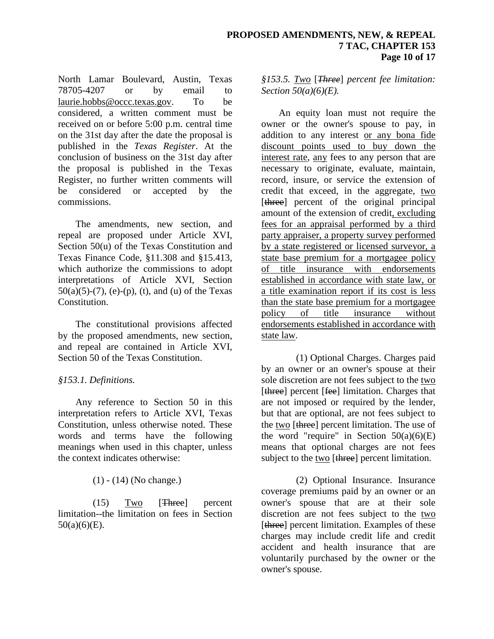North Lamar Boulevard, Austin, Texas 78705-4207 or by email to laurie.hobbs@occc.texas.gov. To be considered, a written comment must be received on or before 5:00 p.m. central time on the 31st day after the date the proposal is published in the *Texas Register*. At the conclusion of business on the 31st day after the proposal is published in the Texas Register, no further written comments will be considered or accepted by the commissions.

The amendments, new section, and repeal are proposed under Article XVI, Section 50(u) of the Texas Constitution and Texas Finance Code, §11.308 and §15.413, which authorize the commissions to adopt interpretations of Article XVI, Section  $50(a)(5)-(7)$ , (e)-(p), (t), and (u) of the Texas Constitution.

The constitutional provisions affected by the proposed amendments, new section, and repeal are contained in Article XVI, Section 50 of the Texas Constitution.

## *§153.1. Definitions.*

Any reference to Section 50 in this interpretation refers to Article XVI, Texas Constitution, unless otherwise noted. These words and terms have the following meanings when used in this chapter, unless the context indicates otherwise:

(1) - (14) (No change.)

(15) Two [Three] percent limitation--the limitation on fees in Section  $50(a)(6)(E)$ .

*§153.5. Two* [*Three*] *percent fee limitation: Section 50(a)(6)(E).*

An equity loan must not require the owner or the owner's spouse to pay, in addition to any interest or any bona fide discount points used to buy down the interest rate, any fees to any person that are necessary to originate, evaluate, maintain, record, insure, or service the extension of credit that exceed, in the aggregate, two [three] percent of the original principal amount of the extension of credit, excluding fees for an appraisal performed by a third party appraiser, a property survey performed by a state registered or licensed surveyor, a state base premium for a mortgagee policy of title insurance with endorsements established in accordance with state law, or a title examination report if its cost is less than the state base premium for a mortgagee<br>policy of title insurance without title insurance without endorsements established in accordance with state law.

(1) Optional Charges. Charges paid by an owner or an owner's spouse at their sole discretion are not fees subject to the two [three] percent [fee] limitation. Charges that are not imposed or required by the lender, but that are optional, are not fees subject to the two [three] percent limitation. The use of the word "require" in Section  $50(a)(6)(E)$ means that optional charges are not fees subject to the two [three] percent limitation.

(2) Optional Insurance. Insurance coverage premiums paid by an owner or an owner's spouse that are at their sole discretion are not fees subject to the two [three] percent limitation. Examples of these charges may include credit life and credit accident and health insurance that are voluntarily purchased by the owner or the owner's spouse.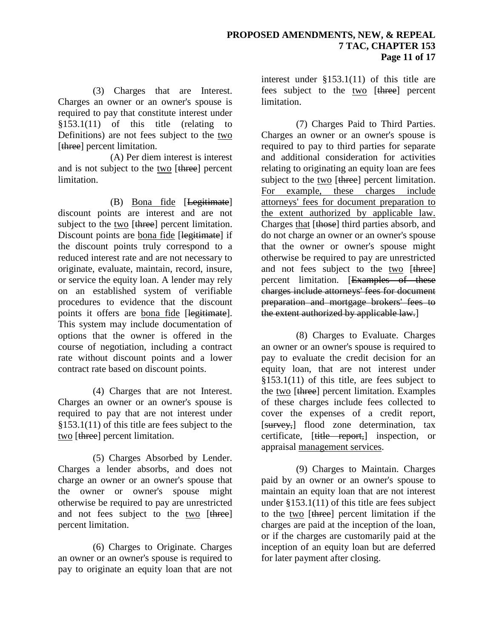(3) Charges that are Interest. Charges an owner or an owner's spouse is required to pay that constitute interest under §153.1(11) of this title (relating to Definitions) are not fees subject to the two [three] percent limitation.

(A) Per diem interest is interest and is not subject to the two [three] percent limitation.

(B) Bona fide [Legitimate] discount points are interest and are not subject to the two [three] percent limitation. Discount points are bona fide [legitimate] if the discount points truly correspond to a reduced interest rate and are not necessary to originate, evaluate, maintain, record, insure, or service the equity loan. A lender may rely on an established system of verifiable procedures to evidence that the discount points it offers are bona fide [legitimate]. This system may include documentation of options that the owner is offered in the course of negotiation, including a contract rate without discount points and a lower contract rate based on discount points.

(4) Charges that are not Interest. Charges an owner or an owner's spouse is required to pay that are not interest under §153.1(11) of this title are fees subject to the two [three] percent limitation.

(5) Charges Absorbed by Lender. Charges a lender absorbs, and does not charge an owner or an owner's spouse that the owner or owner's spouse might otherwise be required to pay are unrestricted and not fees subject to the two [three] percent limitation.

(6) Charges to Originate. Charges an owner or an owner's spouse is required to pay to originate an equity loan that are not

interest under §153.1(11) of this title are fees subject to the two [three] percent limitation.

(7) Charges Paid to Third Parties. Charges an owner or an owner's spouse is required to pay to third parties for separate and additional consideration for activities relating to originating an equity loan are fees subject to the two [three] percent limitation. For example, these charges include attorneys' fees for document preparation to the extent authorized by applicable law. Charges that [those] third parties absorb, and do not charge an owner or an owner's spouse that the owner or owner's spouse might otherwise be required to pay are unrestricted and not fees subject to the two [three] percent limitation. [Examples of these charges include attorneys' fees for document preparation and mortgage brokers' fees to the extent authorized by applicable law.

(8) Charges to Evaluate. Charges an owner or an owner's spouse is required to pay to evaluate the credit decision for an equity loan, that are not interest under §153.1(11) of this title, are fees subject to the two [three] percent limitation. Examples of these charges include fees collected to cover the expenses of a credit report, [survey,] flood zone determination, tax certificate, [title report,] inspection, or appraisal management services.

(9) Charges to Maintain. Charges paid by an owner or an owner's spouse to maintain an equity loan that are not interest under §153.1(11) of this title are fees subject to the two [three] percent limitation if the charges are paid at the inception of the loan, or if the charges are customarily paid at the inception of an equity loan but are deferred for later payment after closing.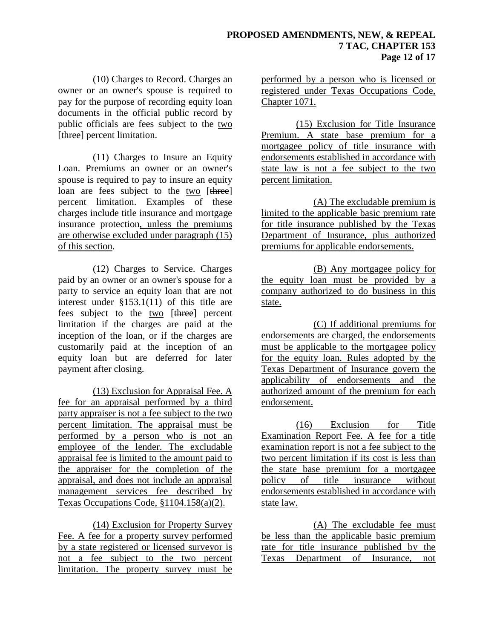(10) Charges to Record. Charges an owner or an owner's spouse is required to pay for the purpose of recording equity loan documents in the official public record by public officials are fees subject to the two [three] percent limitation.

(11) Charges to Insure an Equity Loan. Premiums an owner or an owner's spouse is required to pay to insure an equity loan are fees subject to the two [three] percent limitation. Examples of these charges include title insurance and mortgage insurance protection, unless the premiums are otherwise excluded under paragraph (15) of this section.

(12) Charges to Service. Charges paid by an owner or an owner's spouse for a party to service an equity loan that are not interest under §153.1(11) of this title are fees subject to the two [three] percent limitation if the charges are paid at the inception of the loan, or if the charges are customarily paid at the inception of an equity loan but are deferred for later payment after closing.

(13) Exclusion for Appraisal Fee. A fee for an appraisal performed by a third party appraiser is not a fee subject to the two percent limitation. The appraisal must be performed by a person who is not an employee of the lender. The excludable appraisal fee is limited to the amount paid to the appraiser for the completion of the appraisal, and does not include an appraisal management services fee described by Texas Occupations Code, §1104.158(a)(2).

(14) Exclusion for Property Survey Fee. A fee for a property survey performed by a state registered or licensed surveyor is not a fee subject to the two percent limitation. The property survey must be

performed by a person who is licensed or registered under Texas Occupations Code, Chapter 1071.

(15) Exclusion for Title Insurance Premium. A state base premium for a mortgagee policy of title insurance with endorsements established in accordance with state law is not a fee subject to the two percent limitation.

(A) The excludable premium is limited to the applicable basic premium rate for title insurance published by the Texas Department of Insurance, plus authorized premiums for applicable endorsements.

(B) Any mortgagee policy for the equity loan must be provided by a company authorized to do business in this state.

(C) If additional premiums for endorsements are charged, the endorsements must be applicable to the mortgagee policy for the equity loan. Rules adopted by the Texas Department of Insurance govern the applicability of endorsements and the authorized amount of the premium for each endorsement.

(16) Exclusion for Title Examination Report Fee. A fee for a title examination report is not a fee subject to the two percent limitation if its cost is less than the state base premium for a mortgagee policy of title insurance without endorsements established in accordance with state law.

(A) The excludable fee must be less than the applicable basic premium rate for title insurance published by the Texas Department of Insurance, not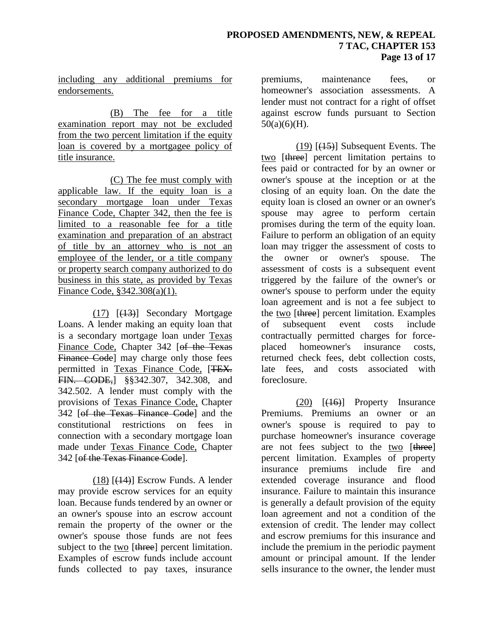including any additional premiums for endorsements.

(B) The fee for a title examination report may not be excluded from the two percent limitation if the equity loan is covered by a mortgagee policy of title insurance.

(C) The fee must comply with applicable law. If the equity loan is a secondary mortgage loan under Texas Finance Code, Chapter 342, then the fee is limited to a reasonable fee for a title examination and preparation of an abstract of title by an attorney who is not an employee of the lender, or a title company or property search company authorized to do business in this state, as provided by Texas Finance Code, §342.308(a)(1).

 $(17)$   $[$ ( $+3$ )</sub> $]$  Secondary Mortgage Loans. A lender making an equity loan that is a secondary mortgage loan under Texas Finance Code, Chapter 342 [of the Texas Finance Code<sup>l</sup> may charge only those fees permitted in Texas Finance Code, [TEX. FIN. CODE,] §§342.307, 342.308, and 342.502. A lender must comply with the provisions of Texas Finance Code, Chapter 342 [of the Texas Finance Code] and the constitutional restrictions on fees in connection with a secondary mortgage loan made under Texas Finance Code, Chapter 342 [of the Texas Finance Code].

 $(18)$   $[$ ( $\overline{14}$ )] Escrow Funds. A lender may provide escrow services for an equity loan. Because funds tendered by an owner or an owner's spouse into an escrow account remain the property of the owner or the owner's spouse those funds are not fees subject to the two [three] percent limitation. Examples of escrow funds include account funds collected to pay taxes, insurance

premiums, maintenance fees, or homeowner's association assessments. A lender must not contract for a right of offset against escrow funds pursuant to Section  $50(a)(6)(H)$ .

 $(19)$   $(15)$ ] Subsequent Events. The two [three] percent limitation pertains to fees paid or contracted for by an owner or owner's spouse at the inception or at the closing of an equity loan. On the date the equity loan is closed an owner or an owner's spouse may agree to perform certain promises during the term of the equity loan. Failure to perform an obligation of an equity loan may trigger the assessment of costs to the owner or owner's spouse. The assessment of costs is a subsequent event triggered by the failure of the owner's or owner's spouse to perform under the equity loan agreement and is not a fee subject to the two [three] percent limitation. Examples of subsequent event costs include contractually permitted charges for forceplaced homeowner's insurance costs, returned check fees, debt collection costs, late fees, and costs associated with foreclosure.

(20) [(16)] Property Insurance Premiums. Premiums an owner or an owner's spouse is required to pay to purchase homeowner's insurance coverage are not fees subject to the two [three] percent limitation. Examples of property insurance premiums include fire and extended coverage insurance and flood insurance. Failure to maintain this insurance is generally a default provision of the equity loan agreement and not a condition of the extension of credit. The lender may collect and escrow premiums for this insurance and include the premium in the periodic payment amount or principal amount. If the lender sells insurance to the owner, the lender must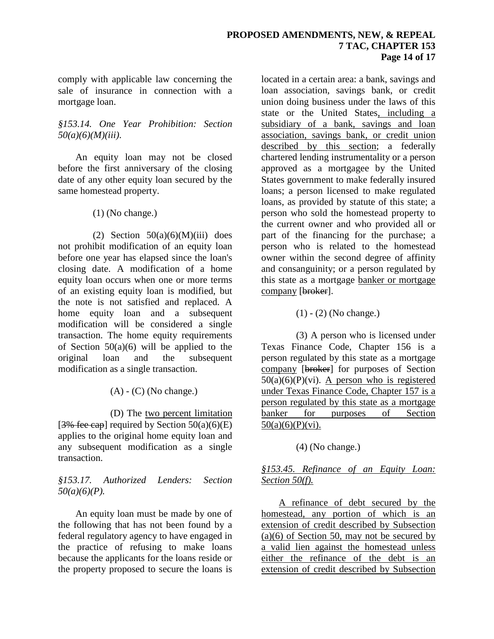#### **PROPOSED AMENDMENTS, NEW, & REPEAL 7 TAC, CHAPTER 153 Page 14 of 17**

comply with applicable law concerning the sale of insurance in connection with a mortgage loan.

### *§153.14. One Year Prohibition: Section 50(a)(6)(M)(iii)*.

An equity loan may not be closed before the first anniversary of the closing date of any other equity loan secured by the same homestead property.

(1) (No change.)

(2) Section  $50(a)(6)(M)(iii)$  does not prohibit modification of an equity loan before one year has elapsed since the loan's closing date. A modification of a home equity loan occurs when one or more terms of an existing equity loan is modified, but the note is not satisfied and replaced. A home equity loan and a subsequent modification will be considered a single transaction. The home equity requirements of Section  $50(a)(6)$  will be applied to the original loan and the subsequent modification as a single transaction.

 $(A)$  -  $(C)$  (No change.)

(D) The two percent limitation [ $3\%$  fee cap] required by Section  $50(a)(6)(E)$ applies to the original home equity loan and any subsequent modification as a single transaction.

## *§153.17. Authorized Lenders: Section 50(a)(6)(P).*

An equity loan must be made by one of the following that has not been found by a federal regulatory agency to have engaged in the practice of refusing to make loans because the applicants for the loans reside or the property proposed to secure the loans is

located in a certain area: a bank, savings and loan association, savings bank, or credit union doing business under the laws of this state or the United States, including a subsidiary of a bank, savings and loan association, savings bank, or credit union described by this section; a federally chartered lending instrumentality or a person approved as a mortgagee by the United States government to make federally insured loans; a person licensed to make regulated loans, as provided by statute of this state; a person who sold the homestead property to the current owner and who provided all or part of the financing for the purchase; a person who is related to the homestead owner within the second degree of affinity and consanguinity; or a person regulated by this state as a mortgage banker or mortgage company [broker].

(1) - (2) (No change.)

(3) A person who is licensed under Texas Finance Code, Chapter 156 is a person regulated by this state as a mortgage company [broker] for purposes of Section  $50(a)(6)(P)(vi)$ . A person who is registered under Texas Finance Code, Chapter 157 is a person regulated by this state as a mortgage banker for purposes of Section  $50(a)(6)(P)(vi)$ .

## (4) (No change.)

# *§153.45. Refinance of an Equity Loan: Section 50(f).*

A refinance of debt secured by the homestead, any portion of which is an extension of credit described by Subsection  $(a)(6)$  of Section 50, may not be secured by a valid lien against the homestead unless either the refinance of the debt is an extension of credit described by Subsection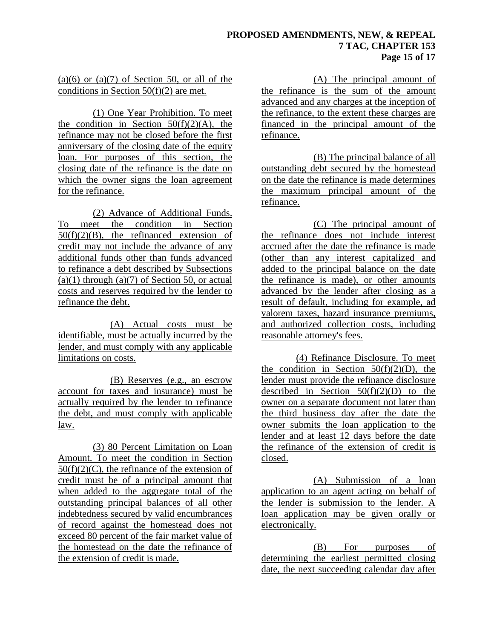### **PROPOSED AMENDMENTS, NEW, & REPEAL 7 TAC, CHAPTER 153 Page 15 of 17**

### $(a)(6)$  or  $(a)(7)$  of Section 50, or all of the conditions in Section 50(f)(2) are met.

(1) One Year Prohibition. To meet the condition in Section  $50(f)(2)(A)$ , the refinance may not be closed before the first anniversary of the closing date of the equity loan. For purposes of this section, the closing date of the refinance is the date on which the owner signs the loan agreement for the refinance.

(2) Advance of Additional Funds. To meet the condition in Section  $50(f)(2)(B)$ , the refinanced extension of credit may not include the advance of any additional funds other than funds advanced to refinance a debt described by Subsections  $(a)(1)$  through  $(a)(7)$  of Section 50, or actual costs and reserves required by the lender to refinance the debt.

(A) Actual costs must be identifiable, must be actually incurred by the lender, and must comply with any applicable limitations on costs.

(B) Reserves (e.g., an escrow account for taxes and insurance) must be actually required by the lender to refinance the debt, and must comply with applicable law.

(3) 80 Percent Limitation on Loan Amount. To meet the condition in Section  $50(f)(2)(C)$ , the refinance of the extension of credit must be of a principal amount that when added to the aggregate total of the outstanding principal balances of all other indebtedness secured by valid encumbrances of record against the homestead does not exceed 80 percent of the fair market value of the homestead on the date the refinance of the extension of credit is made.

(A) The principal amount of the refinance is the sum of the amount advanced and any charges at the inception of the refinance, to the extent these charges are financed in the principal amount of the refinance.

(B) The principal balance of all outstanding debt secured by the homestead on the date the refinance is made determines the maximum principal amount of the refinance.

(C) The principal amount of the refinance does not include interest accrued after the date the refinance is made (other than any interest capitalized and added to the principal balance on the date the refinance is made), or other amounts advanced by the lender after closing as a result of default, including for example, ad valorem taxes, hazard insurance premiums, and authorized collection costs, including reasonable attorney's fees.

(4) Refinance Disclosure. To meet the condition in Section  $50(f)(2)(D)$ , the lender must provide the refinance disclosure described in Section  $50(f)(2)(D)$  to the owner on a separate document not later than the third business day after the date the owner submits the loan application to the lender and at least 12 days before the date the refinance of the extension of credit is closed.

(A) Submission of a loan application to an agent acting on behalf of the lender is submission to the lender. A loan application may be given orally or electronically.

(B) For purposes of determining the earliest permitted closing date, the next succeeding calendar day after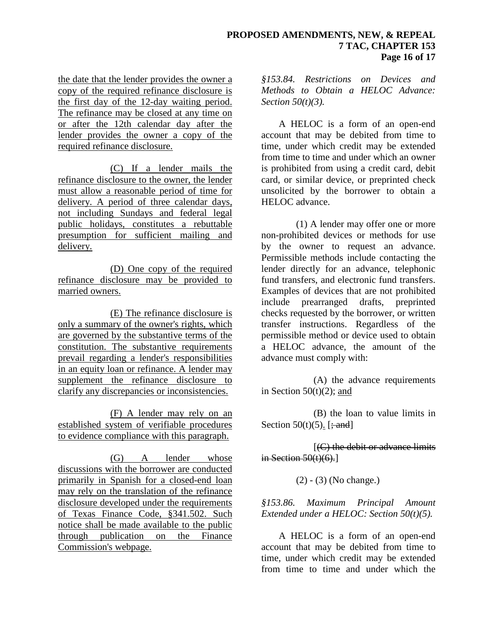the date that the lender provides the owner a copy of the required refinance disclosure is the first day of the 12-day waiting period. The refinance may be closed at any time on or after the 12th calendar day after the lender provides the owner a copy of the required refinance disclosure.

(C) If a lender mails the refinance disclosure to the owner, the lender must allow a reasonable period of time for delivery. A period of three calendar days, not including Sundays and federal legal public holidays, constitutes a rebuttable presumption for sufficient mailing and delivery.

(D) One copy of the required refinance disclosure may be provided to married owners.

(E) The refinance disclosure is only a summary of the owner's rights, which are governed by the substantive terms of the constitution. The substantive requirements prevail regarding a lender's responsibilities in an equity loan or refinance. A lender may supplement the refinance disclosure to clarify any discrepancies or inconsistencies.

(F) A lender may rely on an established system of verifiable procedures to evidence compliance with this paragraph.

(G) A lender whose discussions with the borrower are conducted primarily in Spanish for a closed-end loan may rely on the translation of the refinance disclosure developed under the requirements of Texas Finance Code, §341.502. Such notice shall be made available to the public through publication on the Finance Commission's webpage.

*§153.84. Restrictions on Devices and Methods to Obtain a HELOC Advance: Section 50(t)(3).*

A HELOC is a form of an open-end account that may be debited from time to time, under which credit may be extended from time to time and under which an owner is prohibited from using a credit card, debit card, or similar device, or preprinted check unsolicited by the borrower to obtain a HELOC advance.

(1) A lender may offer one or more non-prohibited devices or methods for use by the owner to request an advance. Permissible methods include contacting the lender directly for an advance, telephonic fund transfers, and electronic fund transfers. Examples of devices that are not prohibited include prearranged drafts, preprinted checks requested by the borrower, or written transfer instructions. Regardless of the permissible method or device used to obtain a HELOC advance, the amount of the advance must comply with:

(A) the advance requirements in Section  $50(t)(2)$ ; and

(B) the loan to value limits in Section  $50(t)(5)$ . [; and]

[(C) the debit or advance limits in Section  $50(t)(6)$ .

(2) - (3) (No change.)

### *§153.86. Maximum Principal Amount Extended under a HELOC: Section 50(t)(5).*

A HELOC is a form of an open-end account that may be debited from time to time, under which credit may be extended from time to time and under which the